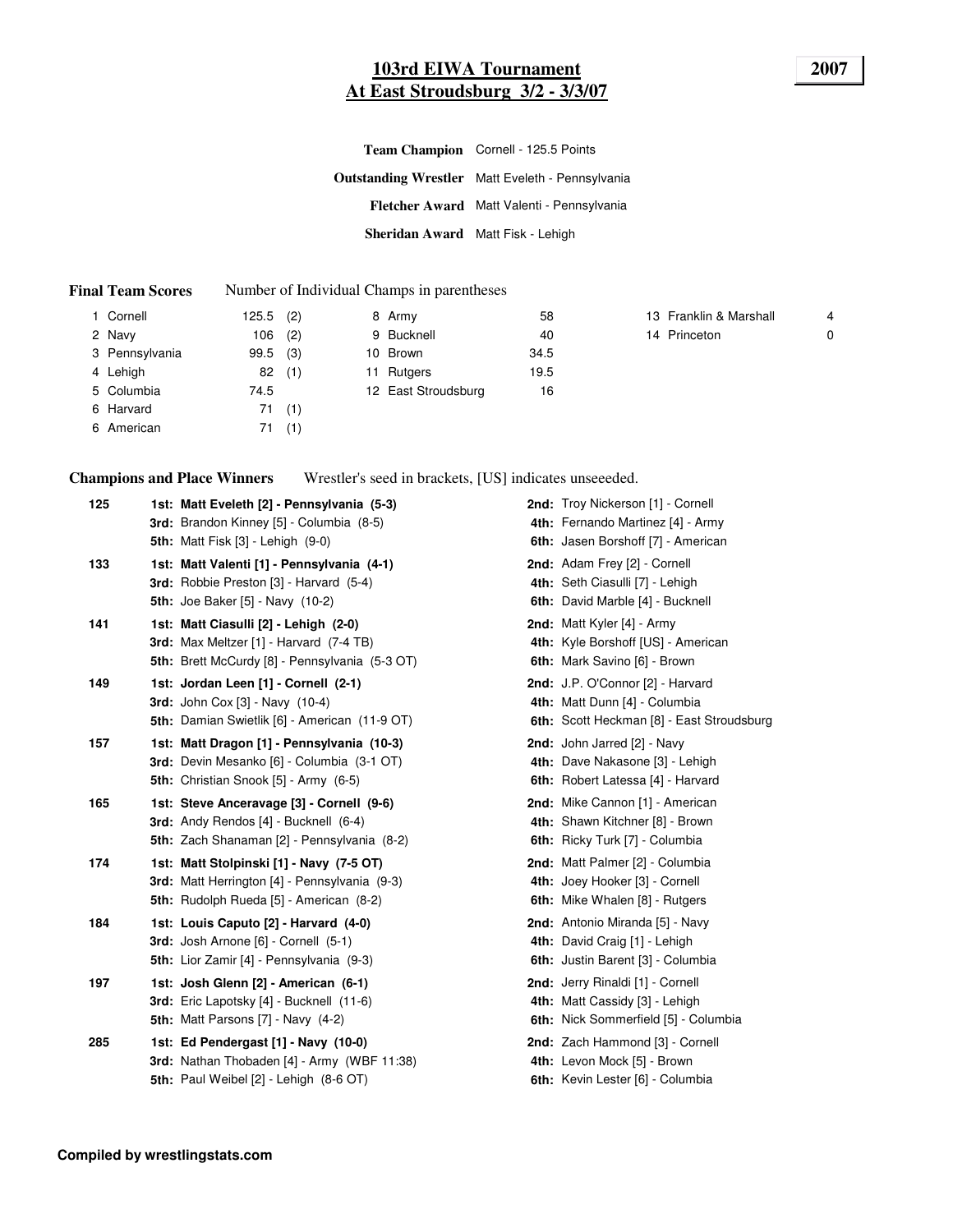### **103rd EIWA Tournament 2007 At East Stroudsburg 3/2 - 3/3/07**

|                                   | Team Champion Cornell - 125.5 Points                    |
|-----------------------------------|---------------------------------------------------------|
|                                   | <b>Outstanding Wrestler</b> Matt Eveleth - Pennsylvania |
|                                   | Fletcher Award Matt Valenti - Pennsylvania              |
| Sheridan Award Matt Fisk - Lehigh |                                                         |

#### **Final Team Scores** Number of Individual Champs in parentheses

| 1 Cornell      | 125.5      | (2) | 8 Army              | 58   | 13 Franklin & Marshall | 4           |
|----------------|------------|-----|---------------------|------|------------------------|-------------|
| 2 Navy         | 106        | (2) | 9 Bucknell          | 40   | 14 Princeton           | $\mathbf 0$ |
| 3 Pennsylvania | $99.5$ (3) |     | 10 Brown            | 34.5 |                        |             |
| 4 Lehigh       | 82         | (1) | 11 Rutgers          | 19.5 |                        |             |
| 5 Columbia     | 74.5       |     | 12 East Stroudsburg | 16   |                        |             |
| 6 Harvard      | 71         | (1) |                     |      |                        |             |
| 6 American     | 71         | (1) |                     |      |                        |             |

**Champions and Place Winners** Wrestler's seed in brackets, [US] indicates unseeeded.

| 1st: Matt Eveleth [2] - Pennsylvania (5-3) |                                                                                                                                                                                                                                                                                                                                                                                                                                                                                                                                                                                                                                                                                                                                                                                                                                                                                                                                                                                                                                                                                                                                                                                                                                                                                                                               | 2nd: Troy Nickerson [1] - Cornell<br>4th: Fernando Martinez [4] - Army<br>6th: Jasen Borshoff [7] - American   |
|--------------------------------------------|-------------------------------------------------------------------------------------------------------------------------------------------------------------------------------------------------------------------------------------------------------------------------------------------------------------------------------------------------------------------------------------------------------------------------------------------------------------------------------------------------------------------------------------------------------------------------------------------------------------------------------------------------------------------------------------------------------------------------------------------------------------------------------------------------------------------------------------------------------------------------------------------------------------------------------------------------------------------------------------------------------------------------------------------------------------------------------------------------------------------------------------------------------------------------------------------------------------------------------------------------------------------------------------------------------------------------------|----------------------------------------------------------------------------------------------------------------|
|                                            |                                                                                                                                                                                                                                                                                                                                                                                                                                                                                                                                                                                                                                                                                                                                                                                                                                                                                                                                                                                                                                                                                                                                                                                                                                                                                                                               | 2nd: Adam Frey [2] - Cornell<br>4th: Seth Ciasulli [7] - Lehigh<br>6th: David Marble [4] - Bucknell            |
|                                            |                                                                                                                                                                                                                                                                                                                                                                                                                                                                                                                                                                                                                                                                                                                                                                                                                                                                                                                                                                                                                                                                                                                                                                                                                                                                                                                               | 2nd: Matt Kyler [4] - Army<br>4th: Kyle Borshoff [US] - American<br>6th: Mark Savino [6] - Brown               |
|                                            |                                                                                                                                                                                                                                                                                                                                                                                                                                                                                                                                                                                                                                                                                                                                                                                                                                                                                                                                                                                                                                                                                                                                                                                                                                                                                                                               | 2nd: J.P. O'Connor [2] - Harvard<br>4th: Matt Dunn [4] - Columbia<br>6th: Scott Heckman [8] - East Stroudsburg |
|                                            |                                                                                                                                                                                                                                                                                                                                                                                                                                                                                                                                                                                                                                                                                                                                                                                                                                                                                                                                                                                                                                                                                                                                                                                                                                                                                                                               | 2nd: John Jarred [2] - Navy<br>4th: Dave Nakasone [3] - Lehigh<br>6th: Robert Latessa [4] - Harvard            |
|                                            |                                                                                                                                                                                                                                                                                                                                                                                                                                                                                                                                                                                                                                                                                                                                                                                                                                                                                                                                                                                                                                                                                                                                                                                                                                                                                                                               | 2nd: Mike Cannon [1] - American<br>4th: Shawn Kitchner [8] - Brown<br>6th: Ricky Turk [7] - Columbia           |
|                                            |                                                                                                                                                                                                                                                                                                                                                                                                                                                                                                                                                                                                                                                                                                                                                                                                                                                                                                                                                                                                                                                                                                                                                                                                                                                                                                                               | 2nd: Matt Palmer [2] - Columbia<br>4th: Joey Hooker [3] - Cornell<br>6th: Mike Whalen [8] - Rutgers            |
|                                            |                                                                                                                                                                                                                                                                                                                                                                                                                                                                                                                                                                                                                                                                                                                                                                                                                                                                                                                                                                                                                                                                                                                                                                                                                                                                                                                               | 2nd: Antonio Miranda [5] - Navy<br>4th: David Craig [1] - Lehigh<br>6th: Justin Barent [3] - Columbia          |
|                                            |                                                                                                                                                                                                                                                                                                                                                                                                                                                                                                                                                                                                                                                                                                                                                                                                                                                                                                                                                                                                                                                                                                                                                                                                                                                                                                                               | 2nd: Jerry Rinaldi [1] - Cornell<br>4th: Matt Cassidy [3] - Lehigh<br>6th: Nick Sommerfield [5] - Columbia     |
|                                            |                                                                                                                                                                                                                                                                                                                                                                                                                                                                                                                                                                                                                                                                                                                                                                                                                                                                                                                                                                                                                                                                                                                                                                                                                                                                                                                               | 2nd: Zach Hammond [3] - Cornell<br>4th: Levon Mock [5] - Brown<br>6th: Kevin Lester [6] - Columbia             |
|                                            | 3rd: Brandon Kinney [5] - Columbia (8-5)<br><b>5th:</b> Matt Fisk [3] - Lehigh (9-0)<br>1st: Matt Valenti [1] - Pennsylvania (4-1)<br>3rd: Robbie Preston [3] - Harvard (5-4)<br><b>5th: Joe Baker [5] - Navy (10-2)</b><br>1st: Matt Ciasulli [2] - Lehigh (2-0)<br>3rd: Max Meltzer [1] - Harvard (7-4 TB)<br>5th: Brett McCurdy [8] - Pennsylvania (5-3 OT)<br>1st: Jordan Leen [1] - Cornell (2-1)<br><b>3rd:</b> John Cox [3] - Navy (10-4)<br>5th: Damian Swietlik [6] - American (11-9 OT)<br>1st: Matt Dragon [1] - Pennsylvania (10-3)<br>3rd: Devin Mesanko [6] - Columbia (3-1 OT)<br>5th: Christian Snook [5] - Army (6-5)<br>1st: Steve Anceravage [3] - Cornell (9-6)<br>3rd: Andy Rendos [4] - Bucknell (6-4)<br>5th: Zach Shanaman [2] - Pennsylvania (8-2)<br>1st: Matt Stolpinski [1] - Navy (7-5 OT)<br><b>3rd:</b> Matt Herrington [4] - Pennsylvania (9-3)<br>5th: Rudolph Rueda [5] - American (8-2)<br>1st: Louis Caputo [2] - Harvard (4-0)<br>3rd: Josh Arnone [6] - Cornell (5-1)<br>5th: Lior Zamir [4] - Pennsylvania (9-3)<br>1st: Josh Glenn [2] - American (6-1)<br>3rd: Eric Lapotsky [4] - Bucknell (11-6)<br><b>5th:</b> Matt Parsons $[7]$ - Navy $(4-2)$<br>1st: Ed Pendergast [1] - Navy (10-0)<br>3rd: Nathan Thobaden [4] - Army (WBF 11:38)<br>5th: Paul Weibel [2] - Lehigh (8-6 OT) |                                                                                                                |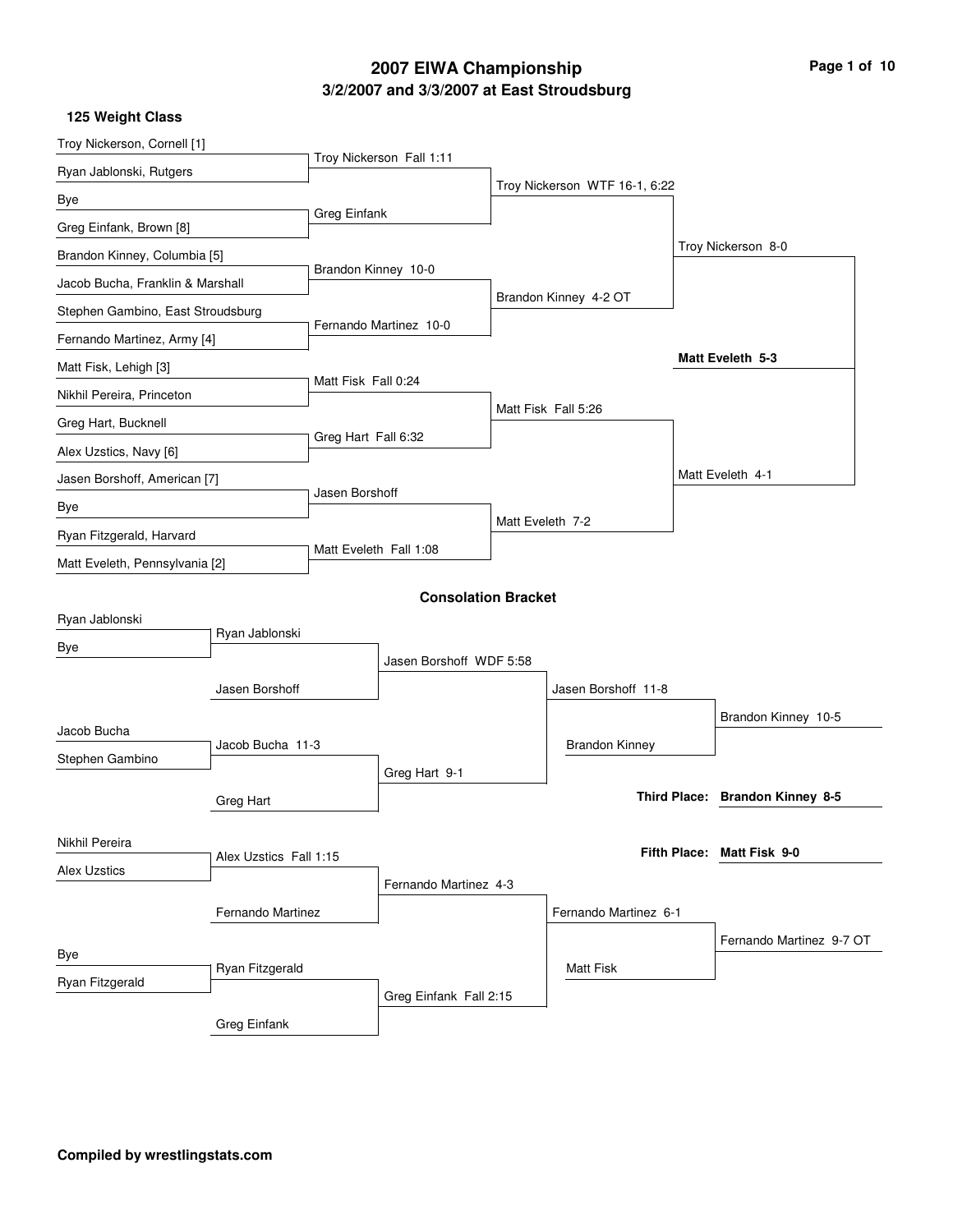# **3/2/2007 and 3/3/2007 at East Stroudsburg 2007 EIWA Championship Page 1 of 10**

| 125 Weight Class |  |
|------------------|--|
|------------------|--|

| Troy Nickerson Fall 1:11<br>Ryan Jablonski, Rutgers<br>Troy Nickerson WTF 16-1, 6:22<br>Bye<br>Greg Einfank<br>Greg Einfank, Brown [8]<br>Troy Nickerson 8-0<br>Brandon Kinney, Columbia [5]<br>Brandon Kinney 10-0<br>Jacob Bucha, Franklin & Marshall<br>Brandon Kinney 4-2 OT<br>Stephen Gambino, East Stroudsburg<br>Fernando Martinez 10-0<br>Fernando Martinez, Army [4]<br>Matt Eveleth 5-3<br>Matt Fisk, Lehigh [3]<br>Matt Fisk Fall 0:24<br>Nikhil Pereira, Princeton<br>Matt Fisk Fall 5:26<br>Greg Hart, Bucknell<br>Greg Hart Fall 6:32<br>Alex Uzstics, Navy [6]<br>Matt Eveleth 4-1<br>Jasen Borshoff, American [7]<br>Jasen Borshoff<br>Bye<br>Matt Eveleth 7-2<br>Ryan Fitzgerald, Harvard<br>Matt Eveleth Fall 1:08<br>Matt Eveleth, Pennsylvania [2]<br><b>Consolation Bracket</b><br>Ryan Jablonski<br>Ryan Jablonski<br>Bye<br>Jasen Borshoff WDF 5:58<br>Jasen Borshoff<br>Jasen Borshoff 11-8<br>Brandon Kinney 10-5<br>Jacob Bucha<br>Jacob Bucha 11-3<br><b>Brandon Kinney</b><br>Stephen Gambino<br>Greg Hart 9-1<br>Third Place: Brandon Kinney 8-5<br>Greg Hart<br>Nikhil Pereira<br>Fifth Place: Matt Fisk 9-0<br>Alex Uzstics Fall 1:15<br><b>Alex Uzstics</b><br>Fernando Martinez 4-3<br>Fernando Martinez<br>Fernando Martinez 6-1<br>Fernando Martinez 9-7 OT | Troy Nickerson, Cornell [1] |  |  |  |  |
|-------------------------------------------------------------------------------------------------------------------------------------------------------------------------------------------------------------------------------------------------------------------------------------------------------------------------------------------------------------------------------------------------------------------------------------------------------------------------------------------------------------------------------------------------------------------------------------------------------------------------------------------------------------------------------------------------------------------------------------------------------------------------------------------------------------------------------------------------------------------------------------------------------------------------------------------------------------------------------------------------------------------------------------------------------------------------------------------------------------------------------------------------------------------------------------------------------------------------------------------------------------------------------------------------|-----------------------------|--|--|--|--|
|                                                                                                                                                                                                                                                                                                                                                                                                                                                                                                                                                                                                                                                                                                                                                                                                                                                                                                                                                                                                                                                                                                                                                                                                                                                                                                 |                             |  |  |  |  |
|                                                                                                                                                                                                                                                                                                                                                                                                                                                                                                                                                                                                                                                                                                                                                                                                                                                                                                                                                                                                                                                                                                                                                                                                                                                                                                 |                             |  |  |  |  |
|                                                                                                                                                                                                                                                                                                                                                                                                                                                                                                                                                                                                                                                                                                                                                                                                                                                                                                                                                                                                                                                                                                                                                                                                                                                                                                 |                             |  |  |  |  |
|                                                                                                                                                                                                                                                                                                                                                                                                                                                                                                                                                                                                                                                                                                                                                                                                                                                                                                                                                                                                                                                                                                                                                                                                                                                                                                 |                             |  |  |  |  |
|                                                                                                                                                                                                                                                                                                                                                                                                                                                                                                                                                                                                                                                                                                                                                                                                                                                                                                                                                                                                                                                                                                                                                                                                                                                                                                 |                             |  |  |  |  |
|                                                                                                                                                                                                                                                                                                                                                                                                                                                                                                                                                                                                                                                                                                                                                                                                                                                                                                                                                                                                                                                                                                                                                                                                                                                                                                 |                             |  |  |  |  |
|                                                                                                                                                                                                                                                                                                                                                                                                                                                                                                                                                                                                                                                                                                                                                                                                                                                                                                                                                                                                                                                                                                                                                                                                                                                                                                 |                             |  |  |  |  |
|                                                                                                                                                                                                                                                                                                                                                                                                                                                                                                                                                                                                                                                                                                                                                                                                                                                                                                                                                                                                                                                                                                                                                                                                                                                                                                 |                             |  |  |  |  |
|                                                                                                                                                                                                                                                                                                                                                                                                                                                                                                                                                                                                                                                                                                                                                                                                                                                                                                                                                                                                                                                                                                                                                                                                                                                                                                 |                             |  |  |  |  |
|                                                                                                                                                                                                                                                                                                                                                                                                                                                                                                                                                                                                                                                                                                                                                                                                                                                                                                                                                                                                                                                                                                                                                                                                                                                                                                 |                             |  |  |  |  |
|                                                                                                                                                                                                                                                                                                                                                                                                                                                                                                                                                                                                                                                                                                                                                                                                                                                                                                                                                                                                                                                                                                                                                                                                                                                                                                 |                             |  |  |  |  |
|                                                                                                                                                                                                                                                                                                                                                                                                                                                                                                                                                                                                                                                                                                                                                                                                                                                                                                                                                                                                                                                                                                                                                                                                                                                                                                 |                             |  |  |  |  |
|                                                                                                                                                                                                                                                                                                                                                                                                                                                                                                                                                                                                                                                                                                                                                                                                                                                                                                                                                                                                                                                                                                                                                                                                                                                                                                 |                             |  |  |  |  |
|                                                                                                                                                                                                                                                                                                                                                                                                                                                                                                                                                                                                                                                                                                                                                                                                                                                                                                                                                                                                                                                                                                                                                                                                                                                                                                 |                             |  |  |  |  |
|                                                                                                                                                                                                                                                                                                                                                                                                                                                                                                                                                                                                                                                                                                                                                                                                                                                                                                                                                                                                                                                                                                                                                                                                                                                                                                 |                             |  |  |  |  |
|                                                                                                                                                                                                                                                                                                                                                                                                                                                                                                                                                                                                                                                                                                                                                                                                                                                                                                                                                                                                                                                                                                                                                                                                                                                                                                 |                             |  |  |  |  |
|                                                                                                                                                                                                                                                                                                                                                                                                                                                                                                                                                                                                                                                                                                                                                                                                                                                                                                                                                                                                                                                                                                                                                                                                                                                                                                 |                             |  |  |  |  |
|                                                                                                                                                                                                                                                                                                                                                                                                                                                                                                                                                                                                                                                                                                                                                                                                                                                                                                                                                                                                                                                                                                                                                                                                                                                                                                 |                             |  |  |  |  |
|                                                                                                                                                                                                                                                                                                                                                                                                                                                                                                                                                                                                                                                                                                                                                                                                                                                                                                                                                                                                                                                                                                                                                                                                                                                                                                 |                             |  |  |  |  |
|                                                                                                                                                                                                                                                                                                                                                                                                                                                                                                                                                                                                                                                                                                                                                                                                                                                                                                                                                                                                                                                                                                                                                                                                                                                                                                 |                             |  |  |  |  |
|                                                                                                                                                                                                                                                                                                                                                                                                                                                                                                                                                                                                                                                                                                                                                                                                                                                                                                                                                                                                                                                                                                                                                                                                                                                                                                 |                             |  |  |  |  |
|                                                                                                                                                                                                                                                                                                                                                                                                                                                                                                                                                                                                                                                                                                                                                                                                                                                                                                                                                                                                                                                                                                                                                                                                                                                                                                 |                             |  |  |  |  |
|                                                                                                                                                                                                                                                                                                                                                                                                                                                                                                                                                                                                                                                                                                                                                                                                                                                                                                                                                                                                                                                                                                                                                                                                                                                                                                 |                             |  |  |  |  |
|                                                                                                                                                                                                                                                                                                                                                                                                                                                                                                                                                                                                                                                                                                                                                                                                                                                                                                                                                                                                                                                                                                                                                                                                                                                                                                 |                             |  |  |  |  |
|                                                                                                                                                                                                                                                                                                                                                                                                                                                                                                                                                                                                                                                                                                                                                                                                                                                                                                                                                                                                                                                                                                                                                                                                                                                                                                 |                             |  |  |  |  |
|                                                                                                                                                                                                                                                                                                                                                                                                                                                                                                                                                                                                                                                                                                                                                                                                                                                                                                                                                                                                                                                                                                                                                                                                                                                                                                 |                             |  |  |  |  |
|                                                                                                                                                                                                                                                                                                                                                                                                                                                                                                                                                                                                                                                                                                                                                                                                                                                                                                                                                                                                                                                                                                                                                                                                                                                                                                 |                             |  |  |  |  |
|                                                                                                                                                                                                                                                                                                                                                                                                                                                                                                                                                                                                                                                                                                                                                                                                                                                                                                                                                                                                                                                                                                                                                                                                                                                                                                 |                             |  |  |  |  |
| Bye<br>Ryan Fitzgerald<br><b>Matt Fisk</b>                                                                                                                                                                                                                                                                                                                                                                                                                                                                                                                                                                                                                                                                                                                                                                                                                                                                                                                                                                                                                                                                                                                                                                                                                                                      |                             |  |  |  |  |
| Ryan Fitzgerald<br>Greg Einfank Fall 2:15                                                                                                                                                                                                                                                                                                                                                                                                                                                                                                                                                                                                                                                                                                                                                                                                                                                                                                                                                                                                                                                                                                                                                                                                                                                       |                             |  |  |  |  |
| <b>Greg Einfank</b>                                                                                                                                                                                                                                                                                                                                                                                                                                                                                                                                                                                                                                                                                                                                                                                                                                                                                                                                                                                                                                                                                                                                                                                                                                                                             |                             |  |  |  |  |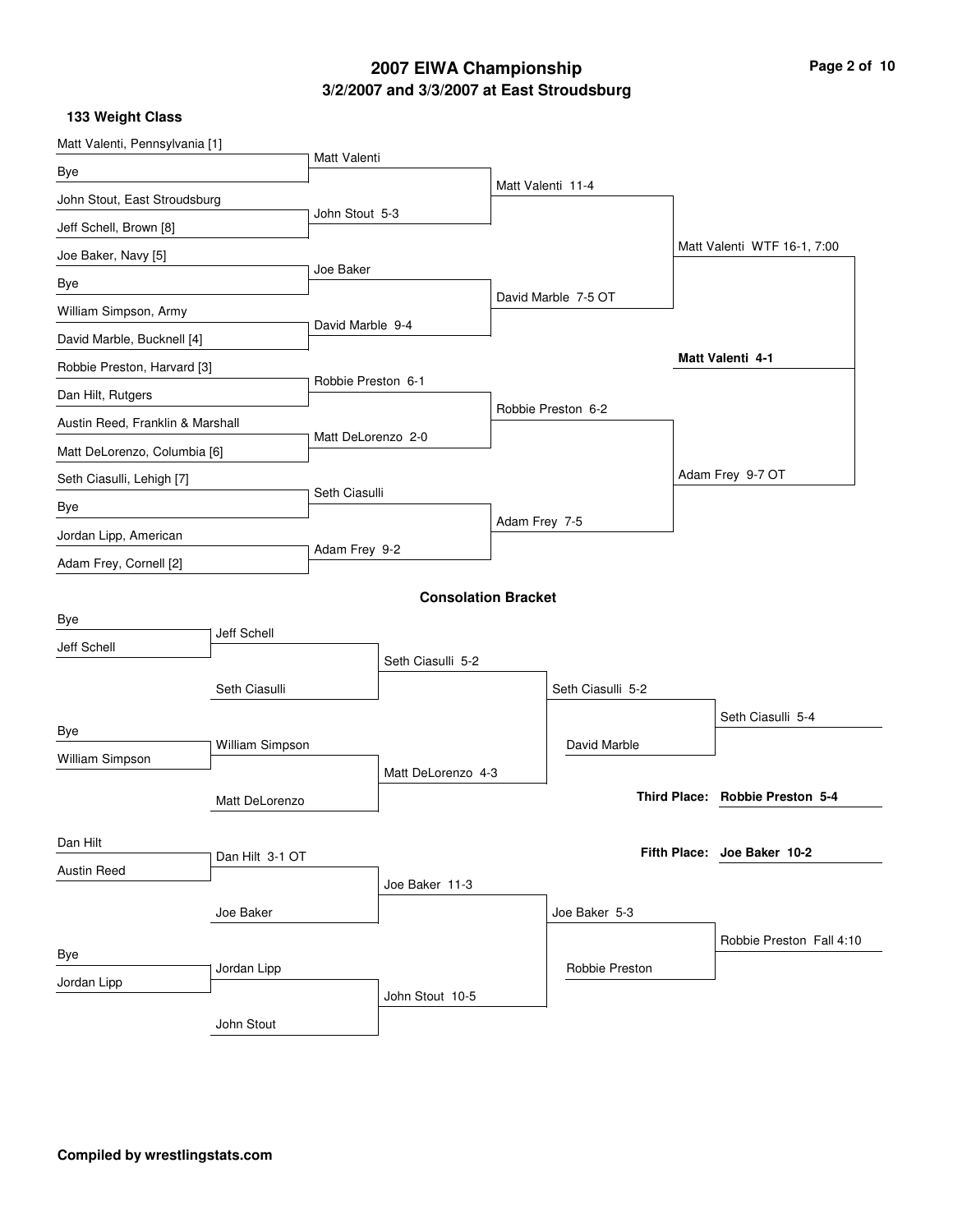# **3/2/2007 and 3/3/2007 at East Stroudsburg 2007 EIWA Championship Page 2 of 10**

**133 Weight Class**

| Matt Valenti, Pennsylvania [1]   |                 |                    |                            |               |                     |                                 |
|----------------------------------|-----------------|--------------------|----------------------------|---------------|---------------------|---------------------------------|
| Bye                              |                 | Matt Valenti       |                            |               |                     |                                 |
| John Stout, East Stroudsburg     |                 |                    |                            |               | Matt Valenti 11-4   |                                 |
| Jeff Schell, Brown [8]           |                 | John Stout 5-3     |                            |               |                     |                                 |
| Joe Baker, Navy [5]              |                 |                    |                            |               |                     | Matt Valenti WTF 16-1, 7:00     |
| Bye                              |                 | Joe Baker          |                            |               |                     |                                 |
| William Simpson, Army            |                 |                    |                            |               | David Marble 7-5 OT |                                 |
| David Marble, Bucknell [4]       |                 | David Marble 9-4   |                            |               |                     |                                 |
| Robbie Preston, Harvard [3]      |                 |                    |                            |               |                     | Matt Valenti 4-1                |
| Dan Hilt, Rutgers                |                 | Robbie Preston 6-1 |                            |               |                     |                                 |
| Austin Reed, Franklin & Marshall |                 |                    |                            |               | Robbie Preston 6-2  |                                 |
| Matt DeLorenzo, Columbia [6]     |                 | Matt DeLorenzo 2-0 |                            |               |                     |                                 |
| Seth Ciasulli, Lehigh [7]        |                 |                    |                            |               |                     | Adam Frey 9-7 OT                |
| Bye                              |                 | Seth Ciasulli      |                            |               |                     |                                 |
| Jordan Lipp, American            |                 |                    |                            | Adam Frey 7-5 |                     |                                 |
| Adam Frey, Cornell [2]           |                 | Adam Frey 9-2      |                            |               |                     |                                 |
|                                  |                 |                    | <b>Consolation Bracket</b> |               |                     |                                 |
| Bye                              |                 |                    |                            |               |                     |                                 |
| Jeff Schell                      | Jeff Schell     |                    |                            |               |                     |                                 |
|                                  |                 |                    | Seth Ciasulli 5-2          |               |                     |                                 |
|                                  | Seth Ciasulli   |                    |                            |               | Seth Ciasulli 5-2   |                                 |
| Bye                              |                 |                    |                            |               |                     | Seth Ciasulli 5-4               |
| William Simpson                  | William Simpson |                    |                            |               | David Marble        |                                 |
|                                  |                 |                    | Matt DeLorenzo 4-3         |               |                     |                                 |
|                                  | Matt DeLorenzo  |                    |                            |               |                     | Third Place: Robbie Preston 5-4 |
| Dan Hilt                         |                 |                    |                            |               |                     |                                 |
| <b>Austin Reed</b>               | Dan Hilt 3-1 OT |                    |                            |               |                     | Fifth Place: Joe Baker 10-2     |
|                                  |                 |                    | Joe Baker 11-3             |               |                     |                                 |
|                                  | Joe Baker       |                    |                            |               | Joe Baker 5-3       |                                 |
| Bye                              |                 |                    |                            |               |                     | Robbie Preston Fall 4:10        |
| Jordan Lipp                      | Jordan Lipp     |                    |                            |               | Robbie Preston      |                                 |
|                                  |                 |                    | John Stout 10-5            |               |                     |                                 |
|                                  | John Stout      |                    |                            |               |                     |                                 |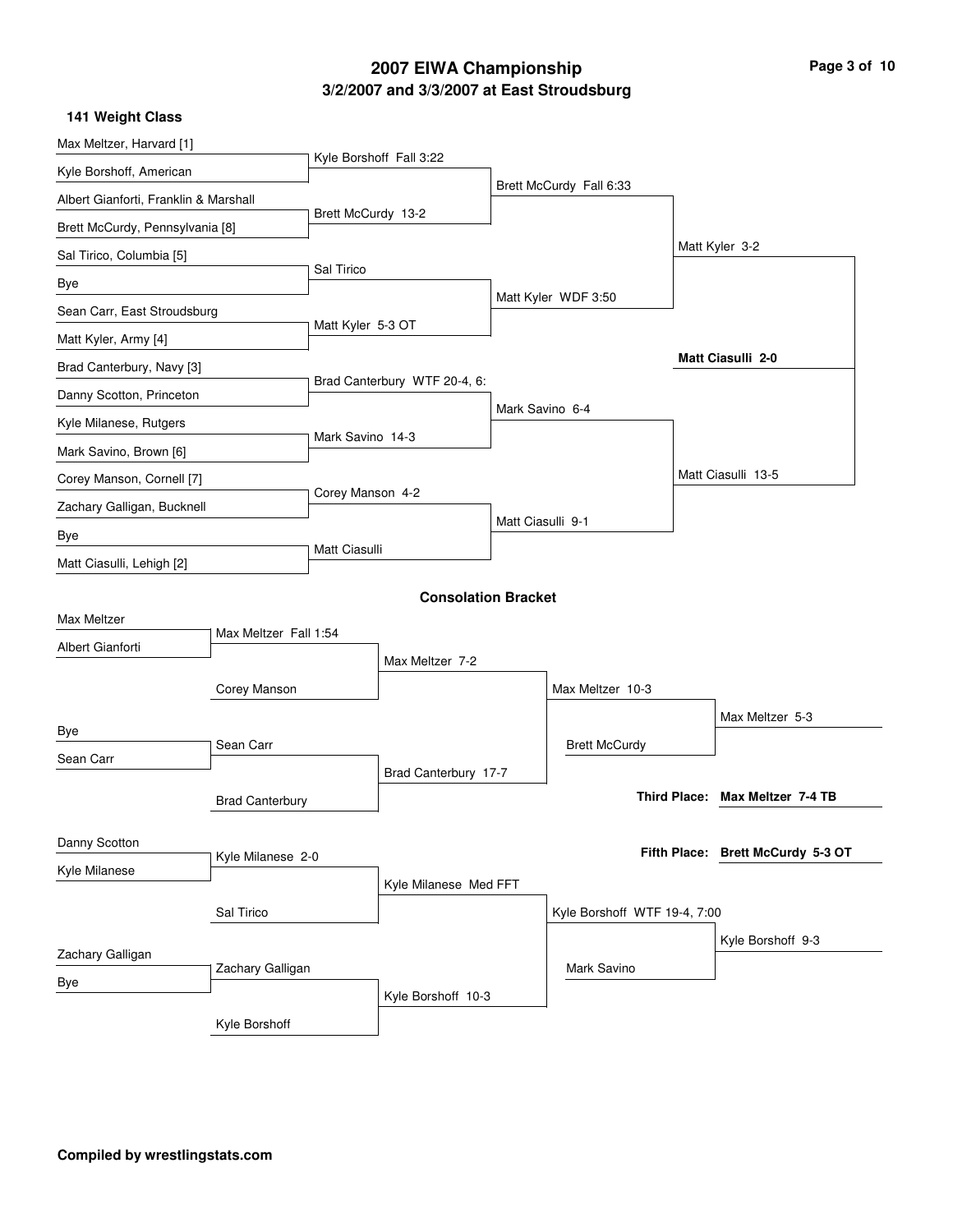# **3/2/2007 and 3/3/2007 at East Stroudsburg 2007 EIWA Championship Page 3 of 10**

|  | 141 Weight Class |  |
|--|------------------|--|
|--|------------------|--|

| Max Meltzer, Harvard [1]              |                        |                    |                              |                   |                              |                                   |
|---------------------------------------|------------------------|--------------------|------------------------------|-------------------|------------------------------|-----------------------------------|
| Kyle Borshoff, American               |                        |                    | Kyle Borshoff Fall 3:22      |                   |                              |                                   |
| Albert Gianforti, Franklin & Marshall |                        |                    |                              |                   | Brett McCurdy Fall 6:33      |                                   |
| Brett McCurdy, Pennsylvania [8]       |                        | Brett McCurdy 13-2 |                              |                   |                              |                                   |
| Sal Tirico, Columbia [5]              |                        |                    |                              |                   |                              | Matt Kyler 3-2                    |
| Bye                                   |                        | Sal Tirico         |                              |                   |                              |                                   |
| Sean Carr, East Stroudsburg           |                        |                    |                              |                   | Matt Kyler WDF 3:50          |                                   |
| Matt Kyler, Army [4]                  |                        | Matt Kyler 5-3 OT  |                              |                   |                              |                                   |
| Brad Canterbury, Navy [3]             |                        |                    |                              |                   |                              | Matt Ciasulli 2-0                 |
| Danny Scotton, Princeton              |                        |                    | Brad Canterbury WTF 20-4, 6: |                   |                              |                                   |
| Kyle Milanese, Rutgers                |                        |                    |                              | Mark Savino 6-4   |                              |                                   |
| Mark Savino, Brown [6]                |                        | Mark Savino 14-3   |                              |                   |                              |                                   |
| Corey Manson, Cornell [7]             |                        |                    |                              |                   |                              | Matt Ciasulli 13-5                |
| Zachary Galligan, Bucknell            |                        | Corey Manson 4-2   |                              |                   |                              |                                   |
| Bye                                   |                        |                    |                              | Matt Ciasulli 9-1 |                              |                                   |
| Matt Ciasulli, Lehigh [2]             |                        | Matt Ciasulli      |                              |                   |                              |                                   |
|                                       |                        |                    | <b>Consolation Bracket</b>   |                   |                              |                                   |
| Max Meltzer                           |                        |                    |                              |                   |                              |                                   |
| Albert Gianforti                      | Max Meltzer Fall 1:54  |                    |                              |                   |                              |                                   |
|                                       |                        |                    | Max Meltzer 7-2              |                   |                              |                                   |
|                                       | Corey Manson           |                    |                              |                   | Max Meltzer 10-3             |                                   |
| Bye                                   |                        |                    |                              |                   |                              | Max Meltzer 5-3                   |
| Sean Carr                             | Sean Carr              |                    |                              |                   | <b>Brett McCurdy</b>         |                                   |
|                                       |                        |                    | Brad Canterbury 17-7         |                   |                              | Third Place: Max Meltzer 7-4 TB   |
|                                       | <b>Brad Canterbury</b> |                    |                              |                   |                              |                                   |
| Danny Scotton                         |                        |                    |                              |                   |                              | Fifth Place: Brett McCurdy 5-3 OT |
| Kyle Milanese                         | Kyle Milanese 2-0      |                    |                              |                   |                              |                                   |
|                                       |                        |                    | Kyle Milanese Med FFT        |                   |                              |                                   |
|                                       | Sal Tirico             |                    |                              |                   | Kyle Borshoff WTF 19-4, 7:00 |                                   |
| Zachary Galligan                      |                        |                    |                              |                   |                              | Kyle Borshoff 9-3                 |
| Bye                                   | Zachary Galligan       |                    |                              |                   | Mark Savino                  |                                   |
|                                       |                        |                    | Kyle Borshoff 10-3           |                   |                              |                                   |
|                                       | Kyle Borshoff          |                    |                              |                   |                              |                                   |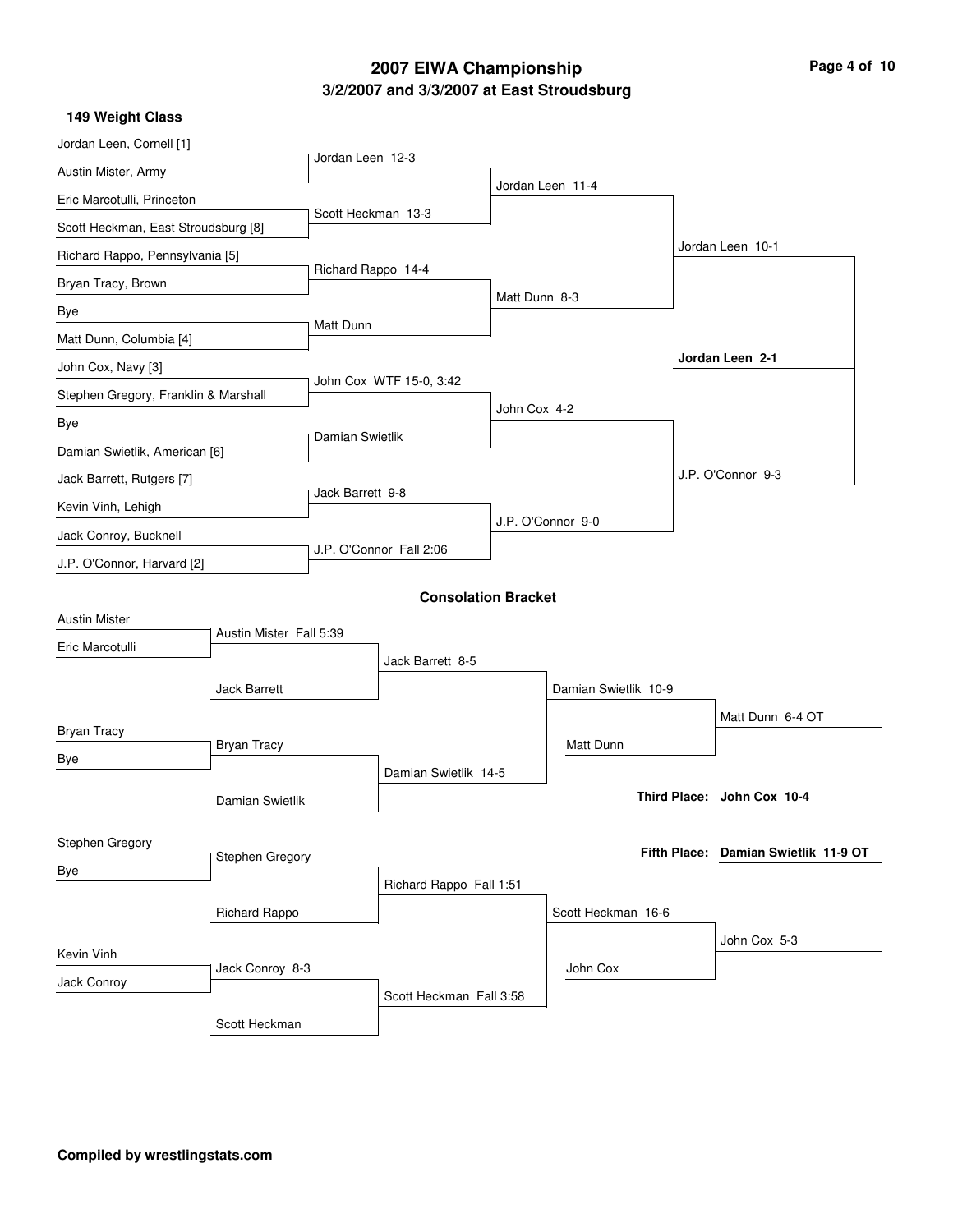# **3/2/2007 and 3/3/2007 at East Stroudsburg 2007 EIWA Championship Page 4 of 10**

**149 Weight Class**

| Jordan Leen, Cornell [1]             |                         | Jordan Leen 12-3   |                            |               |                      |                                      |
|--------------------------------------|-------------------------|--------------------|----------------------------|---------------|----------------------|--------------------------------------|
| Austin Mister, Army                  |                         |                    |                            |               | Jordan Leen 11-4     |                                      |
| Eric Marcotulli, Princeton           |                         | Scott Heckman 13-3 |                            |               |                      |                                      |
| Scott Heckman, East Stroudsburg [8]  |                         |                    |                            |               |                      |                                      |
| Richard Rappo, Pennsylvania [5]      |                         |                    |                            |               |                      | Jordan Leen 10-1                     |
| Bryan Tracy, Brown                   |                         | Richard Rappo 14-4 |                            |               |                      |                                      |
| Bye                                  |                         |                    |                            | Matt Dunn 8-3 |                      |                                      |
| Matt Dunn, Columbia [4]              |                         | Matt Dunn          |                            |               |                      |                                      |
| John Cox, Navy [3]                   |                         |                    |                            |               |                      | Jordan Leen 2-1                      |
| Stephen Gregory, Franklin & Marshall |                         |                    | John Cox WTF 15-0, 3:42    |               |                      |                                      |
| Bye                                  |                         |                    |                            | John Cox 4-2  |                      |                                      |
| Damian Swietlik, American [6]        |                         | Damian Swietlik    |                            |               |                      |                                      |
| Jack Barrett, Rutgers [7]            |                         |                    |                            |               |                      | J.P. O'Connor 9-3                    |
| Kevin Vinh, Lehigh                   |                         | Jack Barrett 9-8   |                            |               |                      |                                      |
| Jack Conroy, Bucknell                |                         |                    |                            |               | J.P. O'Connor 9-0    |                                      |
| J.P. O'Connor, Harvard [2]           |                         |                    | J.P. O'Connor Fall 2:06    |               |                      |                                      |
|                                      |                         |                    |                            |               |                      |                                      |
| <b>Austin Mister</b>                 |                         |                    | <b>Consolation Bracket</b> |               |                      |                                      |
| Eric Marcotulli                      | Austin Mister Fall 5:39 |                    |                            |               |                      |                                      |
|                                      |                         |                    | Jack Barrett 8-5           |               |                      |                                      |
|                                      | Jack Barrett            |                    |                            |               | Damian Swietlik 10-9 |                                      |
|                                      |                         |                    |                            |               |                      | Matt Dunn 6-4 OT                     |
| <b>Bryan Tracy</b>                   | <b>Bryan Tracy</b>      |                    |                            |               | Matt Dunn            |                                      |
| Bye                                  |                         |                    | Damian Swietlik 14-5       |               |                      |                                      |
|                                      | Damian Swietlik         |                    |                            |               |                      | Third Place: John Cox 10-4           |
|                                      |                         |                    |                            |               |                      |                                      |
| Stephen Gregory                      | Stephen Gregory         |                    |                            |               |                      | Fifth Place: Damian Swietlik 11-9 OT |
| Bye                                  |                         |                    | Richard Rappo Fall 1:51    |               |                      |                                      |
|                                      | Richard Rappo           |                    |                            |               | Scott Heckman 16-6   |                                      |
|                                      |                         |                    |                            |               |                      | John Cox 5-3                         |
| Kevin Vinh                           | Jack Conroy 8-3         |                    |                            |               | John Cox             |                                      |
| Jack Conroy                          |                         |                    | Scott Heckman Fall 3:58    |               |                      |                                      |
|                                      | Scott Heckman           |                    |                            |               |                      |                                      |
|                                      |                         |                    |                            |               |                      |                                      |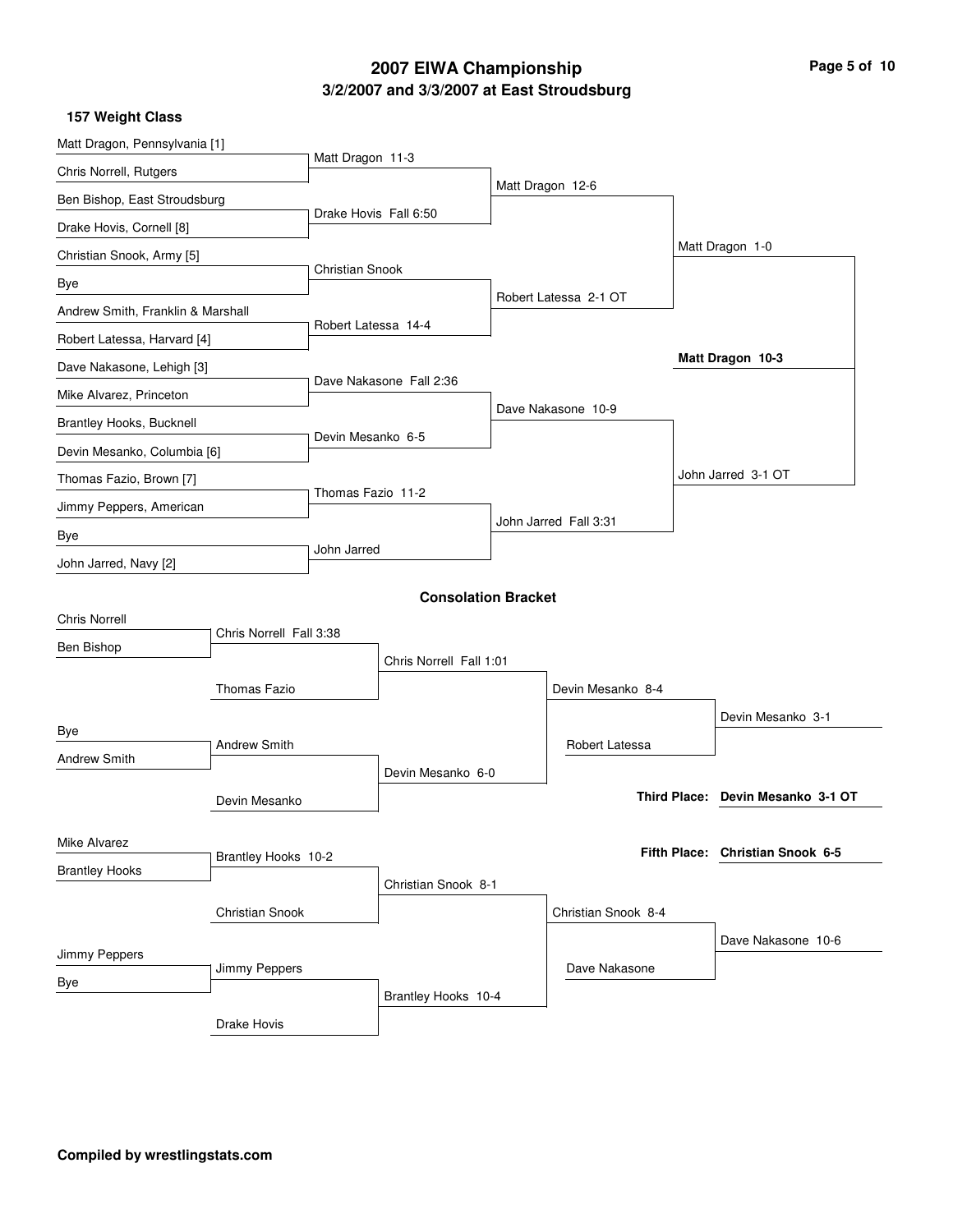# **3/2/2007 and 3/3/2007 at East Stroudsburg 2007 EIWA Championship Page 5 of 10**

|  |  |  | 157 Weight Class |
|--|--|--|------------------|
|--|--|--|------------------|

| Matt Dragon, Pennsylvania [1]     |                         |                       |                            |                       |                                   |
|-----------------------------------|-------------------------|-----------------------|----------------------------|-----------------------|-----------------------------------|
| Chris Norrell, Rutgers            |                         | Matt Dragon 11-3      |                            |                       |                                   |
| Ben Bishop, East Stroudsburg      |                         |                       |                            | Matt Dragon 12-6      |                                   |
| Drake Hovis, Cornell [8]          |                         | Drake Hovis Fall 6:50 |                            |                       |                                   |
| Christian Snook, Army [5]         |                         |                       |                            |                       | Matt Dragon 1-0                   |
| Bye                               |                         | Christian Snook       |                            |                       |                                   |
| Andrew Smith, Franklin & Marshall |                         |                       |                            | Robert Latessa 2-1 OT |                                   |
| Robert Latessa, Harvard [4]       |                         | Robert Latessa 14-4   |                            |                       |                                   |
| Dave Nakasone, Lehigh [3]         |                         |                       |                            |                       | Matt Dragon 10-3                  |
| Mike Alvarez, Princeton           |                         |                       | Dave Nakasone Fall 2:36    |                       |                                   |
| Brantley Hooks, Bucknell          |                         |                       |                            | Dave Nakasone 10-9    |                                   |
| Devin Mesanko, Columbia [6]       |                         | Devin Mesanko 6-5     |                            |                       |                                   |
| Thomas Fazio, Brown [7]           |                         |                       |                            |                       | John Jarred 3-1 OT                |
| Jimmy Peppers, American           |                         | Thomas Fazio 11-2     |                            |                       |                                   |
| Bye                               |                         |                       |                            | John Jarred Fall 3:31 |                                   |
| John Jarred, Navy [2]             |                         | John Jarred           |                            |                       |                                   |
|                                   |                         |                       |                            |                       |                                   |
| <b>Chris Norrell</b>              |                         |                       | <b>Consolation Bracket</b> |                       |                                   |
| Ben Bishop                        | Chris Norrell Fall 3:38 |                       |                            |                       |                                   |
|                                   |                         |                       | Chris Norrell Fall 1:01    |                       |                                   |
|                                   | Thomas Fazio            |                       |                            | Devin Mesanko 8-4     |                                   |
| Bye                               |                         |                       |                            |                       | Devin Mesanko 3-1                 |
| <b>Andrew Smith</b>               | <b>Andrew Smith</b>     |                       |                            | Robert Latessa        |                                   |
|                                   |                         |                       | Devin Mesanko 6-0          |                       |                                   |
|                                   | Devin Mesanko           |                       |                            |                       | Third Place: Devin Mesanko 3-1 OT |
|                                   |                         |                       |                            |                       |                                   |
| Mike Alvarez                      | Brantley Hooks 10-2     |                       |                            |                       | Fifth Place: Christian Snook 6-5  |
| <b>Brantley Hooks</b>             |                         |                       | Christian Snook 8-1        |                       |                                   |
|                                   | Christian Snook         |                       |                            | Christian Snook 8-4   |                                   |
|                                   |                         |                       |                            |                       | Dave Nakasone 10-6                |
| Jimmy Peppers                     | Jimmy Peppers           |                       |                            | Dave Nakasone         |                                   |
| Bye                               |                         |                       | Brantley Hooks 10-4        |                       |                                   |
|                                   | Drake Hovis             |                       |                            |                       |                                   |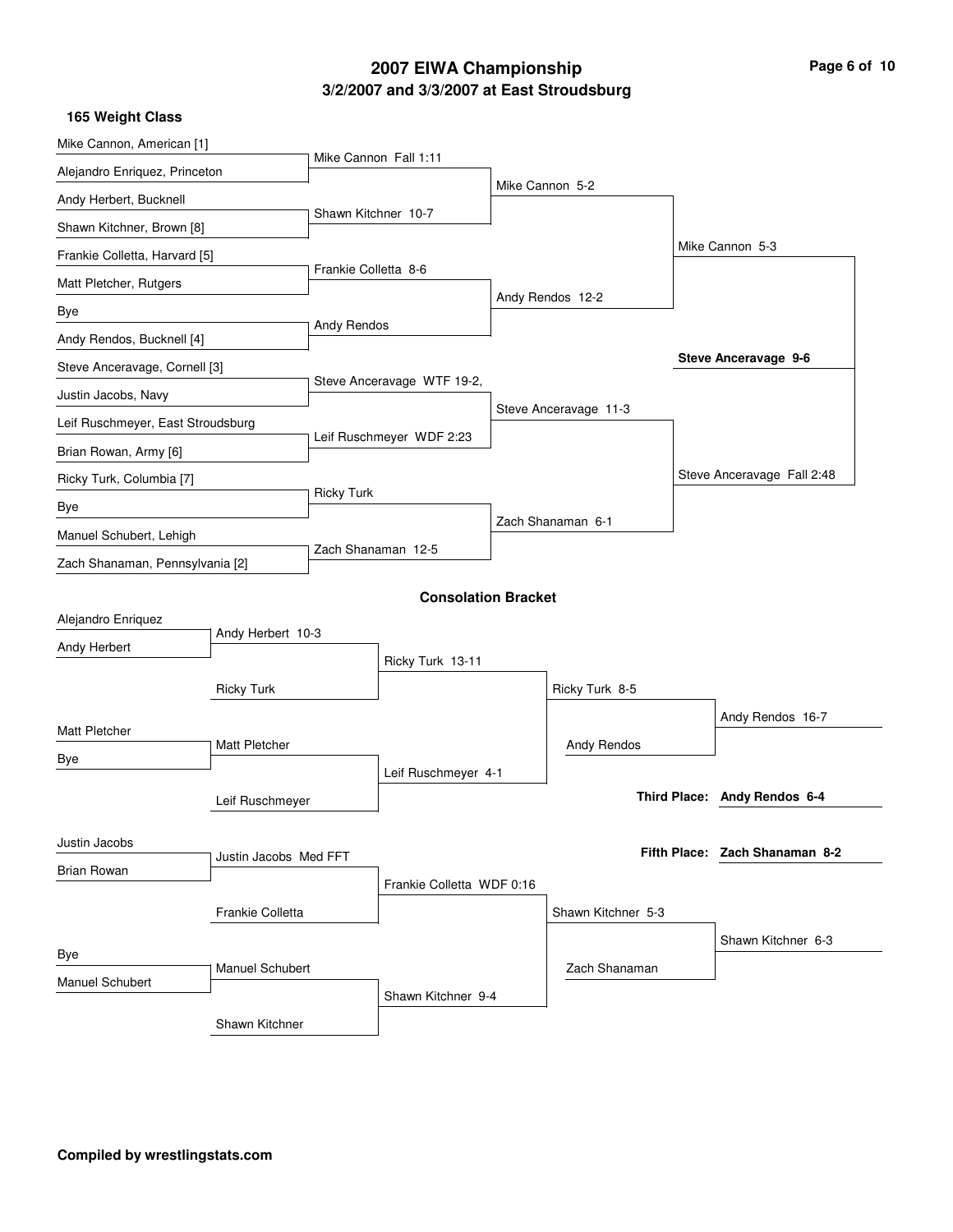# **3/2/2007 and 3/3/2007 at East Stroudsburg 2007 EIWA Championship Page 6 of 10**

| 165 Weight Class                  |                       |                      |                            |                       |                                |
|-----------------------------------|-----------------------|----------------------|----------------------------|-----------------------|--------------------------------|
| Mike Cannon, American [1]         |                       |                      |                            |                       |                                |
| Alejandro Enriquez, Princeton     |                       |                      | Mike Cannon Fall 1:11      |                       |                                |
| Andy Herbert, Bucknell            |                       |                      |                            | Mike Cannon 5-2       |                                |
| Shawn Kitchner, Brown [8]         |                       | Shawn Kitchner 10-7  |                            |                       |                                |
| Frankie Colletta, Harvard [5]     |                       |                      |                            |                       | Mike Cannon 5-3                |
| Matt Pletcher, Rutgers            |                       | Frankie Colletta 8-6 |                            |                       |                                |
| Bye                               |                       |                      |                            | Andy Rendos 12-2      |                                |
| Andy Rendos, Bucknell [4]         |                       | Andy Rendos          |                            |                       |                                |
| Steve Anceravage, Cornell [3]     |                       |                      |                            |                       | Steve Anceravage 9-6           |
| Justin Jacobs, Navy               |                       |                      | Steve Anceravage WTF 19-2, |                       |                                |
| Leif Ruschmeyer, East Stroudsburg |                       |                      |                            | Steve Anceravage 11-3 |                                |
| Brian Rowan, Army [6]             |                       |                      | Leif Ruschmeyer WDF 2:23   |                       |                                |
|                                   |                       |                      |                            |                       | Steve Anceravage Fall 2:48     |
| Ricky Turk, Columbia [7]          |                       | <b>Ricky Turk</b>    |                            |                       |                                |
| Bye                               |                       |                      |                            | Zach Shanaman 6-1     |                                |
| Manuel Schubert, Lehigh           |                       |                      | Zach Shanaman 12-5         |                       |                                |
| Zach Shanaman, Pennsylvania [2]   |                       |                      |                            |                       |                                |
|                                   |                       |                      | <b>Consolation Bracket</b> |                       |                                |
| Alejandro Enriquez                | Andy Herbert 10-3     |                      |                            |                       |                                |
| Andy Herbert                      |                       |                      | Ricky Turk 13-11           |                       |                                |
|                                   | <b>Ricky Turk</b>     |                      |                            | Ricky Turk 8-5        |                                |
|                                   |                       |                      |                            |                       | Andy Rendos 16-7               |
| Matt Pletcher                     | Matt Pletcher         |                      |                            | Andy Rendos           |                                |
| Bye                               |                       |                      | Leif Ruschmeyer 4-1        |                       |                                |
|                                   | Leif Ruschmeyer       |                      |                            |                       | Third Place: Andy Rendos 6-4   |
|                                   |                       |                      |                            |                       |                                |
| Justin Jacobs                     |                       |                      |                            |                       | Fifth Place: Zach Shanaman 8-2 |
| <b>Brian Rowan</b>                | Justin Jacobs Med FFT |                      |                            |                       |                                |
|                                   |                       |                      | Frankie Colletta WDF 0:16  |                       |                                |
|                                   | Frankie Colletta      |                      |                            | Shawn Kitchner 5-3    |                                |
| Bye                               |                       |                      |                            |                       | Shawn Kitchner 6-3             |
| Manuel Schubert                   | Manuel Schubert       |                      |                            | Zach Shanaman         |                                |
|                                   |                       |                      | Shawn Kitchner 9-4         |                       |                                |
|                                   | Shawn Kitchner        |                      |                            |                       |                                |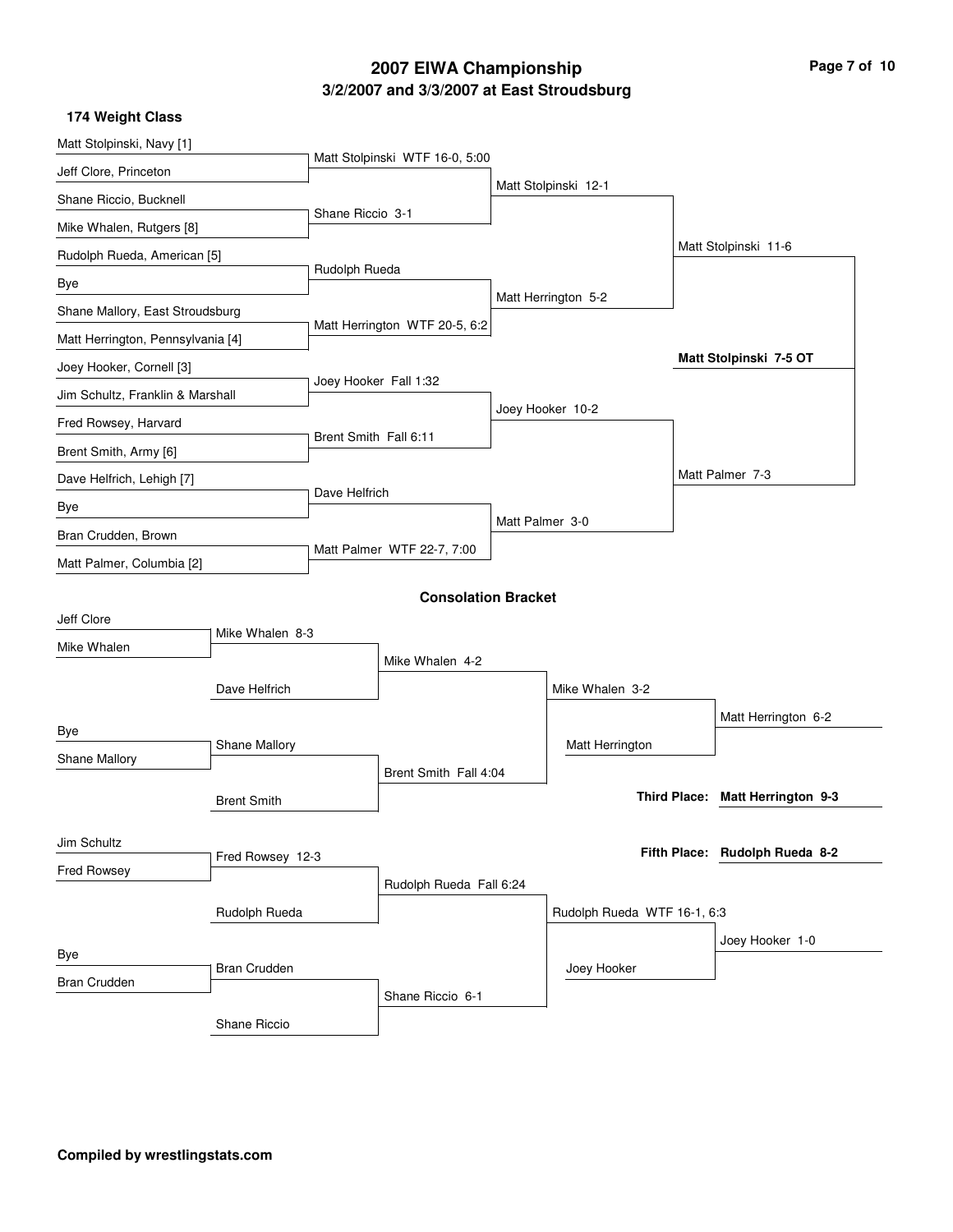### **3/2/2007 and 3/3/2007 at East Stroudsburg 2007 EIWA Championship Page 7 of 10**

| 174 Weight Class                  |                     |                                |                            |                 |                             |                                  |
|-----------------------------------|---------------------|--------------------------------|----------------------------|-----------------|-----------------------------|----------------------------------|
| Matt Stolpinski, Navy [1]         |                     |                                |                            |                 |                             |                                  |
| Jeff Clore, Princeton             |                     | Matt Stolpinski WTF 16-0, 5:00 |                            |                 |                             |                                  |
| Shane Riccio, Bucknell            |                     |                                |                            |                 | Matt Stolpinski 12-1        |                                  |
| Mike Whalen, Rutgers [8]          |                     | Shane Riccio 3-1               |                            |                 |                             |                                  |
| Rudolph Rueda, American [5]       |                     |                                |                            |                 |                             | Matt Stolpinski 11-6             |
| Bye                               |                     | Rudolph Rueda                  |                            |                 |                             |                                  |
| Shane Mallory, East Stroudsburg   |                     |                                |                            |                 | Matt Herrington 5-2         |                                  |
| Matt Herrington, Pennsylvania [4] |                     | Matt Herrington WTF 20-5, 6:2  |                            |                 |                             |                                  |
| Joey Hooker, Cornell [3]          |                     |                                |                            |                 |                             | Matt Stolpinski 7-5 OT           |
| Jim Schultz, Franklin & Marshall  |                     |                                | Joey Hooker Fall 1:32      |                 |                             |                                  |
| Fred Rowsey, Harvard              |                     |                                |                            |                 | Joey Hooker 10-2            |                                  |
| Brent Smith, Army [6]             |                     | Brent Smith Fall 6:11          |                            |                 |                             |                                  |
| Dave Helfrich, Lehigh [7]         |                     |                                |                            |                 |                             | Matt Palmer 7-3                  |
| Bye                               |                     | Dave Helfrich                  |                            |                 |                             |                                  |
| Bran Crudden, Brown               |                     |                                |                            | Matt Palmer 3-0 |                             |                                  |
| Matt Palmer, Columbia [2]         |                     | Matt Palmer WTF 22-7, 7:00     |                            |                 |                             |                                  |
|                                   |                     |                                | <b>Consolation Bracket</b> |                 |                             |                                  |
| Jeff Clore                        |                     |                                |                            |                 |                             |                                  |
| Mike Whalen                       | Mike Whalen 8-3     |                                |                            |                 |                             |                                  |
|                                   |                     |                                | Mike Whalen 4-2            |                 |                             |                                  |
|                                   | Dave Helfrich       |                                |                            |                 | Mike Whalen 3-2             |                                  |
| Bye                               |                     |                                |                            |                 |                             | Matt Herrington 6-2              |
| Shane Mallory                     | Shane Mallory       |                                |                            |                 | Matt Herrington             |                                  |
|                                   |                     |                                | Brent Smith Fall 4:04      |                 |                             |                                  |
|                                   | <b>Brent Smith</b>  |                                |                            |                 |                             | Third Place: Matt Herrington 9-3 |
| Jim Schultz                       |                     |                                |                            |                 |                             |                                  |
| Fred Rowsey                       | Fred Rowsey 12-3    |                                |                            |                 |                             | Fifth Place: Rudolph Rueda 8-2   |
|                                   |                     |                                | Rudolph Rueda Fall 6:24    |                 |                             |                                  |
|                                   | Rudolph Rueda       |                                |                            |                 | Rudolph Rueda WTF 16-1, 6:3 |                                  |
| Bye                               |                     |                                |                            |                 |                             | Joey Hooker 1-0                  |
| <b>Bran Crudden</b>               | <b>Bran Crudden</b> |                                |                            |                 | Joey Hooker                 |                                  |
|                                   |                     |                                | Shane Riccio 6-1           |                 |                             |                                  |
|                                   | Shane Riccio        |                                |                            |                 |                             |                                  |

**Compiled by wrestlingstats.com**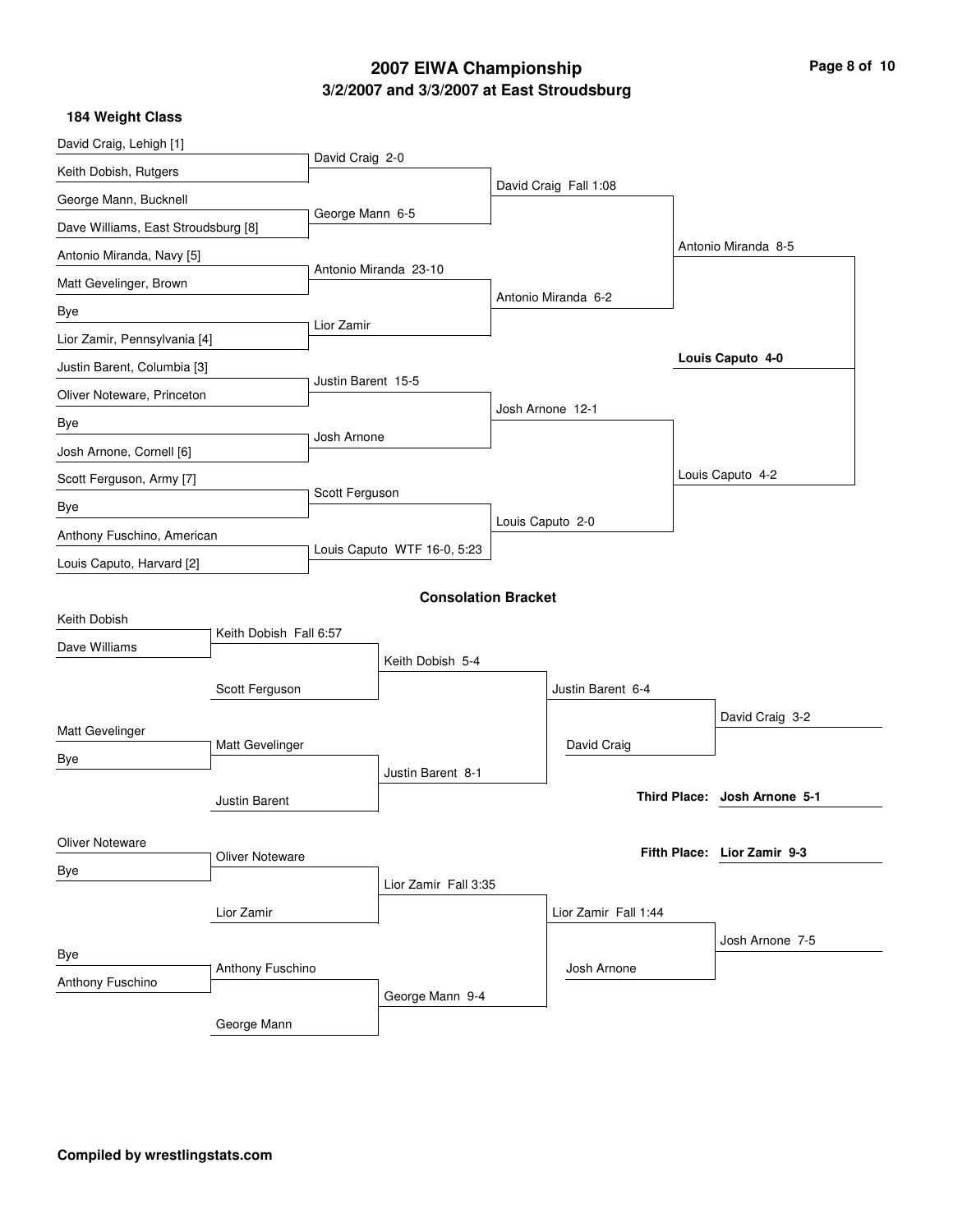# **3/2/2007 and 3/3/2007 at East Stroudsburg 2007 EIWA Championship Page 8 of 10**

|  | <b>184 Weight Class</b> |
|--|-------------------------|
|  |                         |

| David Craig, Lehigh [1]             |                        | David Craig 2-0             |                            |  |                       |                              |
|-------------------------------------|------------------------|-----------------------------|----------------------------|--|-----------------------|------------------------------|
| Keith Dobish, Rutgers               |                        |                             |                            |  | David Craig Fall 1:08 |                              |
| George Mann, Bucknell               |                        | George Mann 6-5             |                            |  |                       |                              |
| Dave Williams, East Stroudsburg [8] |                        |                             |                            |  |                       |                              |
| Antonio Miranda, Navy [5]           |                        |                             |                            |  |                       | Antonio Miranda 8-5          |
| Matt Gevelinger, Brown              |                        |                             | Antonio Miranda 23-10      |  |                       |                              |
| Bye                                 |                        |                             |                            |  | Antonio Miranda 6-2   |                              |
| Lior Zamir, Pennsylvania [4]        |                        | Lior Zamir                  |                            |  |                       |                              |
| Justin Barent, Columbia [3]         |                        |                             |                            |  |                       | Louis Caputo 4-0             |
| Oliver Noteware, Princeton          |                        | Justin Barent 15-5          |                            |  |                       |                              |
| Bye                                 |                        |                             |                            |  | Josh Arnone 12-1      |                              |
| Josh Arnone, Cornell [6]            |                        | Josh Arnone                 |                            |  |                       |                              |
| Scott Ferguson, Army [7]            |                        |                             |                            |  |                       | Louis Caputo 4-2             |
| Bye                                 |                        | Scott Ferguson              |                            |  |                       |                              |
| Anthony Fuschino, American          |                        |                             |                            |  | Louis Caputo 2-0      |                              |
| Louis Caputo, Harvard [2]           |                        | Louis Caputo WTF 16-0, 5:23 |                            |  |                       |                              |
|                                     |                        |                             | <b>Consolation Bracket</b> |  |                       |                              |
| Keith Dobish                        |                        |                             |                            |  |                       |                              |
| Dave Williams                       | Keith Dobish Fall 6:57 |                             |                            |  |                       |                              |
|                                     |                        |                             | Keith Dobish 5-4           |  |                       |                              |
|                                     | Scott Ferguson         |                             |                            |  | Justin Barent 6-4     |                              |
| Matt Gevelinger                     |                        |                             |                            |  |                       | David Craig 3-2              |
| Bye                                 | Matt Gevelinger        |                             |                            |  | David Craig           |                              |
|                                     |                        |                             | Justin Barent 8-1          |  |                       |                              |
|                                     | Justin Barent          |                             |                            |  |                       | Third Place: Josh Arnone 5-1 |
| <b>Oliver Noteware</b>              |                        |                             |                            |  |                       |                              |
| Bye                                 | <b>Oliver Noteware</b> |                             |                            |  |                       | Fifth Place: Lior Zamir 9-3  |
|                                     |                        |                             | Lior Zamir Fall 3:35       |  |                       |                              |
|                                     | Lior Zamir             |                             |                            |  | Lior Zamir Fall 1:44  |                              |
|                                     |                        |                             |                            |  |                       | Josh Arnone 7-5              |
| Bye                                 | Anthony Fuschino       |                             |                            |  | Josh Arnone           |                              |
| Anthony Fuschino                    |                        |                             | George Mann 9-4            |  |                       |                              |
|                                     | George Mann            |                             |                            |  |                       |                              |
|                                     |                        |                             |                            |  |                       |                              |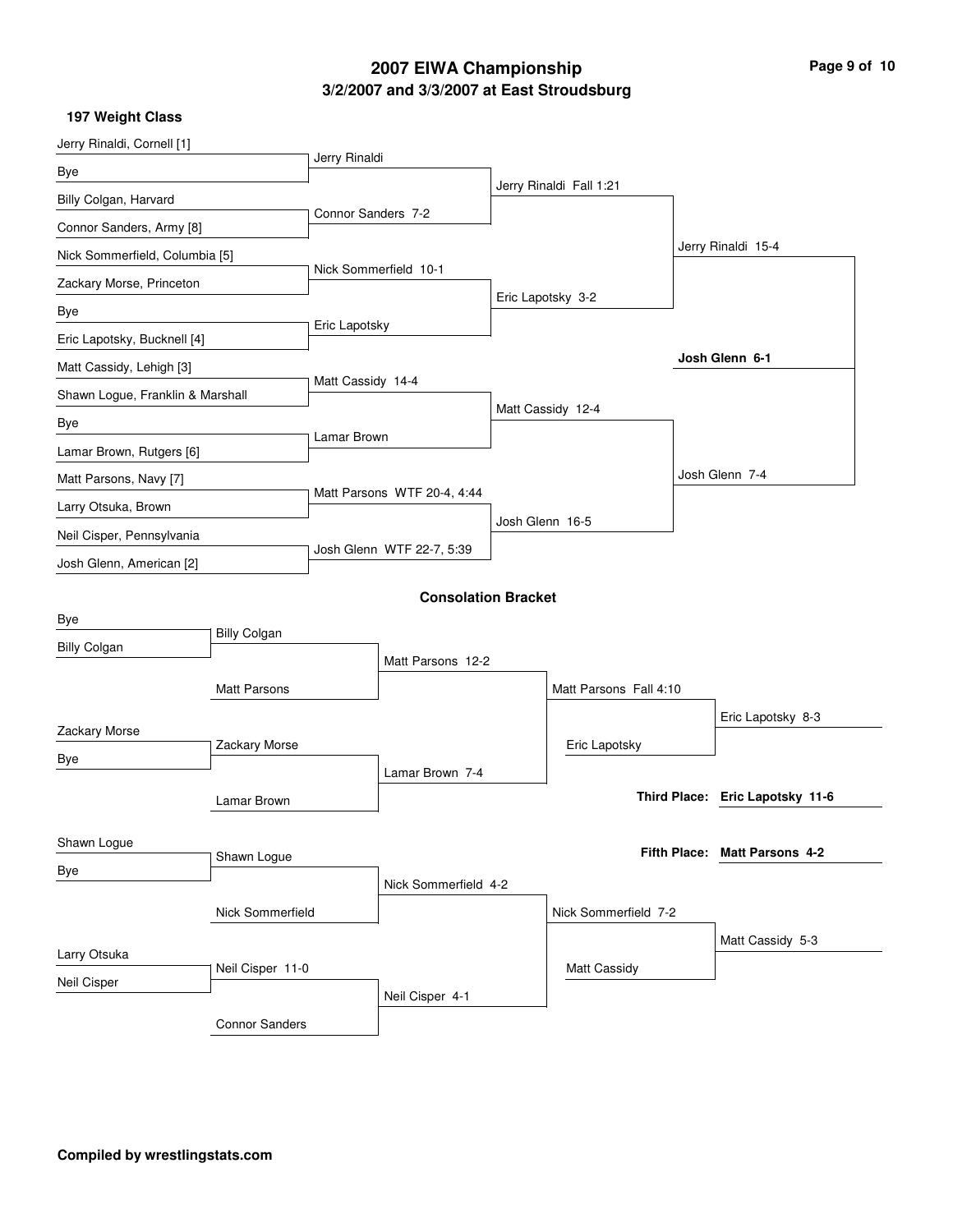# **3/2/2007 and 3/3/2007 at East Stroudsburg 2007 EIWA Championship Page 9 of 10**

**197 Weight Class**

| Jerry Rinaldi, Cornell [1]                            |                       |                             |                            |                 |                         |                                 |
|-------------------------------------------------------|-----------------------|-----------------------------|----------------------------|-----------------|-------------------------|---------------------------------|
|                                                       |                       | Jerry Rinaldi               |                            |                 |                         |                                 |
| Bye                                                   |                       |                             |                            |                 | Jerry Rinaldi Fall 1:21 |                                 |
| Billy Colgan, Harvard                                 |                       | Connor Sanders 7-2          |                            |                 |                         |                                 |
| Connor Sanders, Army [8]                              |                       |                             |                            |                 |                         | Jerry Rinaldi 15-4              |
| Nick Sommerfield, Columbia [5]                        |                       |                             | Nick Sommerfield 10-1      |                 |                         |                                 |
| Zackary Morse, Princeton                              |                       |                             |                            |                 | Eric Lapotsky 3-2       |                                 |
| Bye                                                   |                       | Eric Lapotsky               |                            |                 |                         |                                 |
| Eric Lapotsky, Bucknell [4]                           |                       |                             |                            |                 |                         |                                 |
| Matt Cassidy, Lehigh [3]                              |                       |                             |                            |                 |                         | Josh Glenn 6-1                  |
| Shawn Logue, Franklin & Marshall                      |                       | Matt Cassidy 14-4           |                            |                 | Matt Cassidy 12-4       |                                 |
| Bye                                                   |                       | Lamar Brown                 |                            |                 |                         |                                 |
| Lamar Brown, Rutgers [6]                              |                       |                             |                            |                 |                         |                                 |
| Matt Parsons, Navy [7]                                |                       |                             |                            |                 |                         | Josh Glenn 7-4                  |
| Larry Otsuka, Brown                                   |                       | Matt Parsons WTF 20-4, 4:44 |                            |                 |                         |                                 |
| Neil Cisper, Pennsylvania<br>Josh Glenn, American [2] |                       | Josh Glenn WTF 22-7, 5:39   |                            | Josh Glenn 16-5 |                         |                                 |
|                                                       |                       |                             |                            |                 |                         |                                 |
|                                                       |                       |                             | <b>Consolation Bracket</b> |                 |                         |                                 |
| Bye                                                   |                       |                             |                            |                 |                         |                                 |
| <b>Billy Colgan</b>                                   | <b>Billy Colgan</b>   |                             |                            |                 |                         |                                 |
|                                                       |                       |                             | Matt Parsons 12-2          |                 |                         |                                 |
|                                                       | Matt Parsons          |                             |                            |                 | Matt Parsons Fall 4:10  |                                 |
| Zackary Morse                                         |                       |                             |                            |                 |                         | Eric Lapotsky 8-3               |
| Bye                                                   | Zackary Morse         |                             |                            |                 | Eric Lapotsky           |                                 |
|                                                       |                       |                             | Lamar Brown 7-4            |                 |                         |                                 |
|                                                       | Lamar Brown           |                             |                            |                 |                         | Third Place: Eric Lapotsky 11-6 |
| Shawn Logue                                           |                       |                             |                            |                 |                         |                                 |
|                                                       | Shawn Logue           |                             |                            |                 |                         | Fifth Place: Matt Parsons 4-2   |
| Bye                                                   |                       |                             | Nick Sommerfield 4-2       |                 |                         |                                 |
|                                                       | Nick Sommerfield      |                             |                            |                 | Nick Sommerfield 7-2    |                                 |
|                                                       |                       |                             |                            |                 |                         | Matt Cassidy 5-3                |
| Larry Otsuka<br>Neil Cisper 11-0                      |                       |                             |                            |                 | <b>Matt Cassidy</b>     |                                 |
| Neil Cisper                                           |                       |                             | Neil Cisper 4-1            |                 |                         |                                 |
|                                                       | <b>Connor Sanders</b> |                             |                            |                 |                         |                                 |